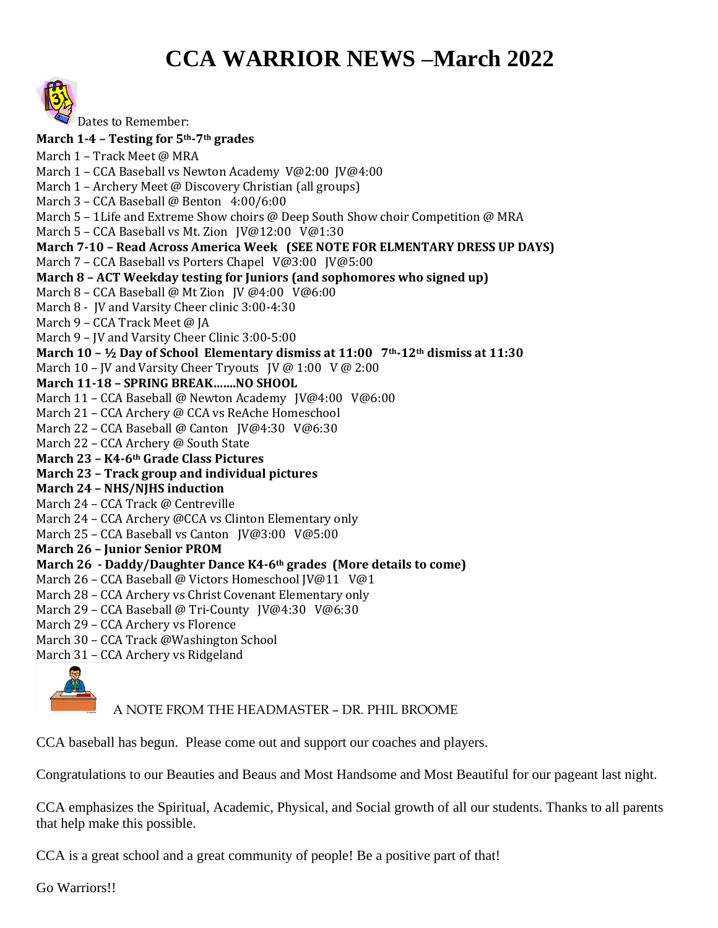## **CCA WARRIOR NEWS –March 2022**



Dates to Remember: **March 1-4 – Testing for 5th-7th grades** March 1 – Track Meet @ MRA March 1 – CCA Baseball vs Newton Academy V@2:00 JV@4:00 March 1 – Archery Meet @ Discovery Christian (all groups) March 3 – CCA Baseball @ Benton 4:00/6:00 March 5 – 1Life and Extreme Show choirs @ Deep South Show choir Competition @ MRA March 5 – CCA Baseball vs Mt. Zion JV@12:00 V@1:30 **March 7-10 – Read Across America Week (SEE NOTE FOR ELMENTARY DRESS UP DAYS)** March 7 - CCA Baseball vs Porters Chapel V@3:00 JV@5:00 **March 8 – ACT Weekday testing for Juniors (and sophomores who signed up)** March 8 – CCA Baseball @ Mt Zion JV @4:00 V@6:00 March 8 - JV and Varsity Cheer clinic 3:00-4:30 March 9 - CCA Track Meet @ JA March 9 – JV and Varsity Cheer Clinic 3:00-5:00 **March 10 – ½ Day of School Elementary dismiss at 11:00 7th-12th dismiss at 11:30** March 10 – JV and Varsity Cheer Tryouts JV @ 1:00 V @ 2:00 **March 11-18 – SPRING BREAK…….NO SHOOL** March 11 – CCA Baseball @ Newton Academy JV@4:00 V@6:00 March 21 – CCA Archery @ CCA vs ReAche Homeschool March 22 - CCA Baseball @ Canton JV@4:30 V@6:30 March 22 – CCA Archery @ South State **March 23 – K4-6th Grade Class Pictures March 23 – Track group and individual pictures March 24 – NHS/NJHS induction** March 24 – CCA Track @ Centreville March 24 – CCA Archery @CCA vs Clinton Elementary only March 25 – CCA Baseball vs Canton JV@3:00 V@5:00 **March 26 – Junior Senior PROM March 26 - Daddy/Daughter Dance K4-6th grades (More details to come)** March 26 - CCA Baseball @ Victors Homeschool JV@11 V@1 March 28 – CCA Archery vs Christ Covenant Elementary only March 29 – CCA Baseball @ Tri-County JV@4:30 V@6:30 March 29 – CCA Archery vs Florence March 30 – CCA Track @Washington School March 31 – CCA Archery vs Ridgeland

A NOTE FROM THE HEADMASTER – DR. PHIL BROOME

CCA baseball has begun. Please come out and support our coaches and players.

Congratulations to our Beauties and Beaus and Most Handsome and Most Beautiful for our pageant last night.

CCA emphasizes the Spiritual, Academic, Physical, and Social growth of all our students. Thanks to all parents that help make this possible.

CCA is a great school and a great community of people! Be a positive part of that!

Go Warriors!!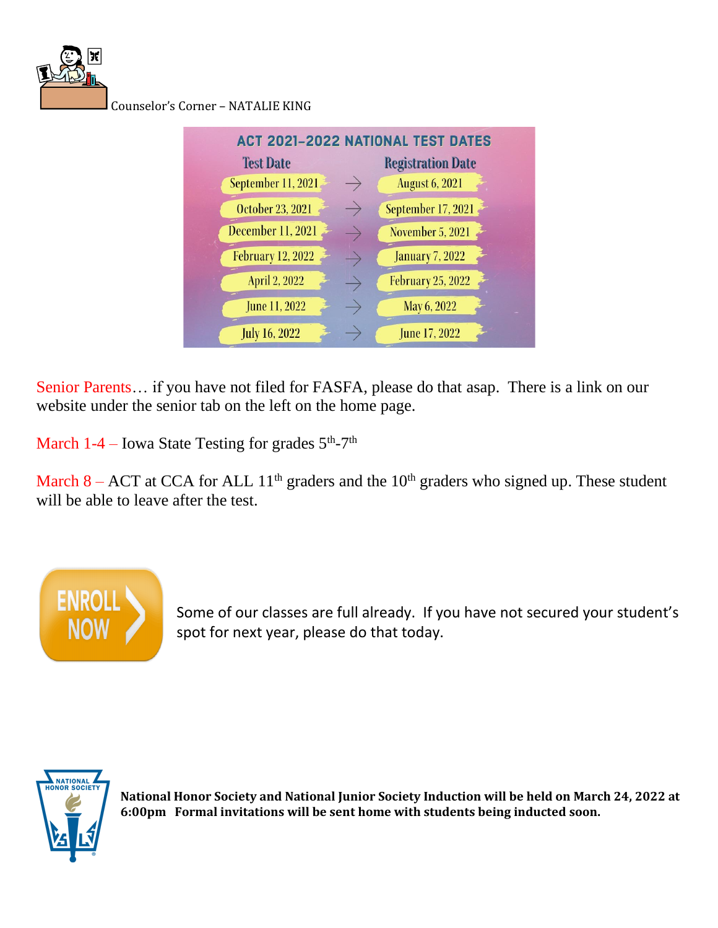

Counselor's Corner – NATALIE KING



Senior Parents… if you have not filed for FASFA, please do that asap. There is a link on our website under the senior tab on the left on the home page.

March  $1-4$  – Iowa State Testing for grades  $5<sup>th</sup>$ -7<sup>th</sup>

March 8 – ACT at CCA for ALL  $11<sup>th</sup>$  graders and the  $10<sup>th</sup>$  graders who signed up. These student will be able to leave after the test.



Some of our classes are full already. If you have not secured your student's spot for next year, please do that today.



**National Honor Society and National Junior Society Induction will be held on March 24, 2022 at 6:00pm Formal invitations will be sent home with students being inducted soon.**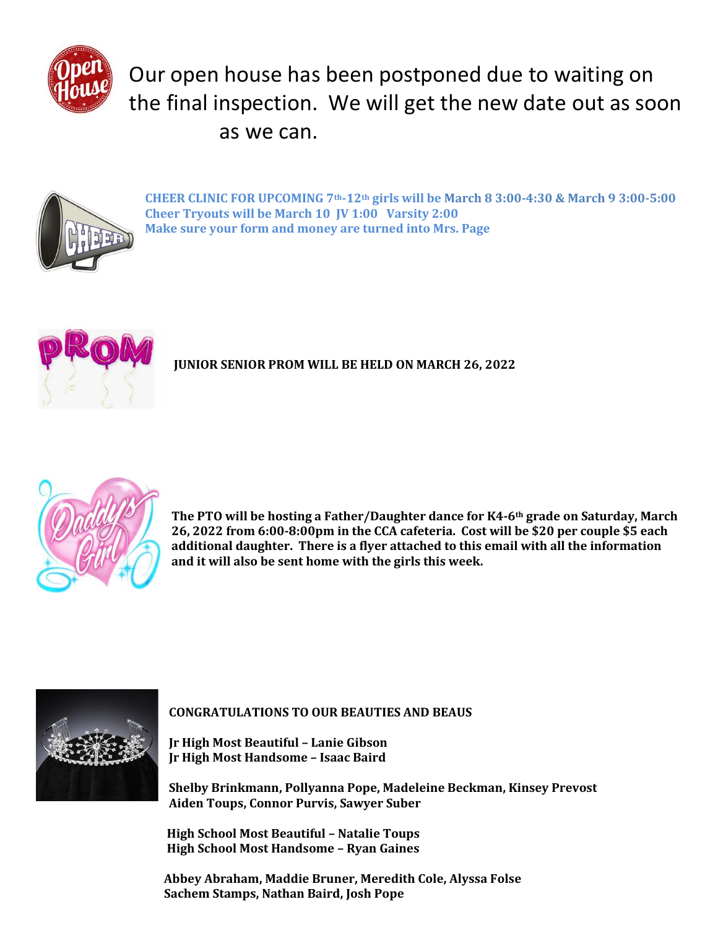

## Our open house has been postponed due to waiting on the final inspection. We will get the new date out as soon as we can.



**CHEER CLINIC FOR UPCOMING 7th-12th girls will be March 8 3:00-4:30 & March 9 3:00-5:00 Cheer Tryouts will be March 10 JV 1:00 Varsity 2:00 Make sure your form and money are turned into Mrs. Page**



**JUNIOR SENIOR PROM WILL BE HELD ON MARCH 26, 2022**



**The PTO will be hosting a Father/Daughter dance for K4-6th grade on Saturday, March 26, 2022 from 6:00-8:00pm in the CCA cafeteria. Cost will be \$20 per couple \$5 each additional daughter. There is a flyer attached to this email with all the information and it will also be sent home with the girls this week.**



**CONGRATULATIONS TO OUR BEAUTIES AND BEAUS**

**Jr High Most Beautiful – Lanie Gibson Jr High Most Handsome – Isaac Baird**

**Shelby Brinkmann, Pollyanna Pope, Madeleine Beckman, Kinsey Prevost Aiden Toups, Connor Purvis, Sawyer Suber**

 **High School Most Beautiful – Natalie Toups High School Most Handsome – Ryan Gaines**

 **Abbey Abraham, Maddie Bruner, Meredith Cole, Alyssa Folse Sachem Stamps, Nathan Baird, Josh Pope**